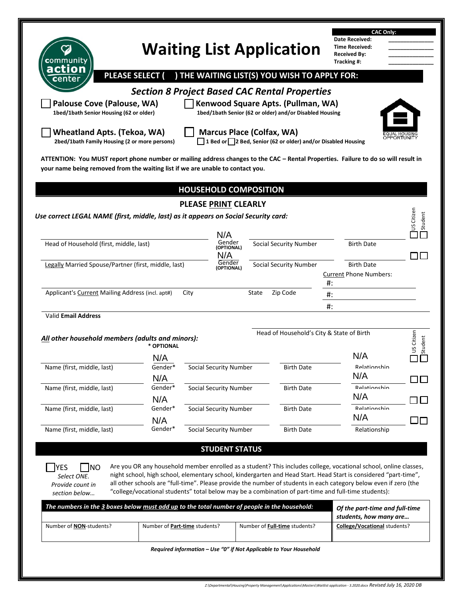|                                                                                                                                                                                                                                                                                                                    |                               |                               |                                                                                                      | <b>CAC Only:</b>                                                                                                                                                                                                                      |             |
|--------------------------------------------------------------------------------------------------------------------------------------------------------------------------------------------------------------------------------------------------------------------------------------------------------------------|-------------------------------|-------------------------------|------------------------------------------------------------------------------------------------------|---------------------------------------------------------------------------------------------------------------------------------------------------------------------------------------------------------------------------------------|-------------|
|                                                                                                                                                                                                                                                                                                                    |                               |                               | <b>Waiting List Application</b>                                                                      | Date Received:<br><b>Time Received:</b>                                                                                                                                                                                               |             |
| <b>c</b> ommunitv                                                                                                                                                                                                                                                                                                  |                               |                               |                                                                                                      | <b>Received By:</b><br>Tracking #:                                                                                                                                                                                                    |             |
| action<br>center                                                                                                                                                                                                                                                                                                   | <b>PLEASE SELECT (</b>        |                               | ) THE WAITING LIST(S) YOU WISH TO APPLY FOR:                                                         |                                                                                                                                                                                                                                       |             |
|                                                                                                                                                                                                                                                                                                                    |                               |                               | <b>Section 8 Project Based CAC Rental Properties</b>                                                 |                                                                                                                                                                                                                                       |             |
| <b>Palouse Cove (Palouse, WA)</b>                                                                                                                                                                                                                                                                                  |                               |                               | Kenwood Square Apts. (Pullman, WA)                                                                   |                                                                                                                                                                                                                                       |             |
| 1bed/1bath Senior Housing (62 or older)                                                                                                                                                                                                                                                                            |                               |                               | 1bed/1bath Senior (62 or older) and/or Disabled Housing                                              |                                                                                                                                                                                                                                       |             |
| <b>Wheatland Apts. (Tekoa, WA)</b>                                                                                                                                                                                                                                                                                 |                               |                               | <b>Marcus Place (Colfax, WA)</b>                                                                     |                                                                                                                                                                                                                                       | OPPORTUNITY |
| 2bed/1bath Family Housing (2 or more persons)                                                                                                                                                                                                                                                                      |                               |                               | 1 Bed or 2 Bed, Senior (62 or older) and/or Disabled Housing                                         |                                                                                                                                                                                                                                       |             |
| ATTENTION: You MUST report phone number or mailing address changes to the CAC - Rental Properties. Failure to do so will result in<br>your name being removed from the waiting list if we are unable to contact you.                                                                                               |                               |                               |                                                                                                      |                                                                                                                                                                                                                                       |             |
|                                                                                                                                                                                                                                                                                                                    |                               |                               |                                                                                                      |                                                                                                                                                                                                                                       |             |
|                                                                                                                                                                                                                                                                                                                    |                               | <b>HOUSEHOLD COMPOSITION</b>  |                                                                                                      |                                                                                                                                                                                                                                       |             |
|                                                                                                                                                                                                                                                                                                                    |                               | <b>PLEASE PRINT CLEARLY</b>   |                                                                                                      |                                                                                                                                                                                                                                       |             |
| Use correct LEGAL NAME (first, middle, last) as it appears on Social Security card:                                                                                                                                                                                                                                |                               |                               |                                                                                                      |                                                                                                                                                                                                                                       | US Citizen  |
|                                                                                                                                                                                                                                                                                                                    |                               | N/A                           |                                                                                                      |                                                                                                                                                                                                                                       |             |
| Head of Household (first, middle, last)                                                                                                                                                                                                                                                                            |                               | Gender<br>(OPTIONAL)<br>N/A   | <b>Social Security Number</b>                                                                        | <b>Birth Date</b>                                                                                                                                                                                                                     |             |
|                                                                                                                                                                                                                                                                                                                    |                               |                               |                                                                                                      | <b>Birth Date</b>                                                                                                                                                                                                                     |             |
|                                                                                                                                                                                                                                                                                                                    |                               | Gender<br>(OPTIONAL)          | <b>Social Security Number</b>                                                                        |                                                                                                                                                                                                                                       |             |
|                                                                                                                                                                                                                                                                                                                    |                               |                               |                                                                                                      | <b>Current Phone Numbers:</b><br>#:                                                                                                                                                                                                   |             |
|                                                                                                                                                                                                                                                                                                                    | City                          |                               | State<br>Zip Code                                                                                    | #:                                                                                                                                                                                                                                    |             |
|                                                                                                                                                                                                                                                                                                                    |                               |                               |                                                                                                      | #:                                                                                                                                                                                                                                    |             |
|                                                                                                                                                                                                                                                                                                                    |                               |                               |                                                                                                      |                                                                                                                                                                                                                                       |             |
|                                                                                                                                                                                                                                                                                                                    |                               |                               | Head of Household's City & State of Birth                                                            |                                                                                                                                                                                                                                       |             |
|                                                                                                                                                                                                                                                                                                                    | * OPTIONAL                    |                               |                                                                                                      | N/A                                                                                                                                                                                                                                   | US Citizen  |
|                                                                                                                                                                                                                                                                                                                    | N/A<br>Gender*                | Social Security Number        | Birth Date                                                                                           | Relationshin                                                                                                                                                                                                                          |             |
|                                                                                                                                                                                                                                                                                                                    | N/A<br>Gender*                |                               |                                                                                                      | N/A<br>Relationshin                                                                                                                                                                                                                   |             |
|                                                                                                                                                                                                                                                                                                                    | N/A                           | <b>Social Security Number</b> | <b>Birth Date</b>                                                                                    | N/A                                                                                                                                                                                                                                   |             |
|                                                                                                                                                                                                                                                                                                                    | Gender*                       | Social Security Number        | <b>Birth Date</b>                                                                                    | Ralationchin                                                                                                                                                                                                                          |             |
|                                                                                                                                                                                                                                                                                                                    | N/A<br>Gender*                | <b>Social Security Number</b> | <b>Birth Date</b>                                                                                    | N/A<br>Relationship                                                                                                                                                                                                                   |             |
| Legally Married Spouse/Partner (first, middle, last)<br>Applicant's Current Mailing Address (incl. apt#)<br><b>Valid Email Address</b><br>All other household members (adults and minors):<br>Name (first, middle, last)<br>Name (first, middle, last)<br>Name (first, middle, last)<br>Name (first, middle, last) |                               |                               |                                                                                                      |                                                                                                                                                                                                                                       |             |
|                                                                                                                                                                                                                                                                                                                    |                               | <b>STUDENT STATUS</b>         |                                                                                                      |                                                                                                                                                                                                                                       |             |
| NO<br>YES                                                                                                                                                                                                                                                                                                          |                               |                               |                                                                                                      | Are you OR any household member enrolled as a student? This includes college, vocational school, online classes,                                                                                                                      |             |
| Select ONE.<br>Provide count in                                                                                                                                                                                                                                                                                    |                               |                               |                                                                                                      | night school, high school, elementary school, kindergarten and Head Start. Head Start is considered "part-time",<br>all other schools are "full-time". Please provide the number of students in each category below even if zero (the |             |
| section below                                                                                                                                                                                                                                                                                                      |                               |                               | "college/vocational students" total below may be a combination of part-time and full-time students): |                                                                                                                                                                                                                                       |             |
| The numbers in the 3 boxes below must add up to the total number of people in the household:                                                                                                                                                                                                                       |                               |                               |                                                                                                      | Of the part-time and full-time                                                                                                                                                                                                        |             |
| Number of <b>NON</b> -students?                                                                                                                                                                                                                                                                                    | Number of Part-time students? |                               | Number of Full-time students?                                                                        | students, how many are<br>College/Vocational students?                                                                                                                                                                                |             |